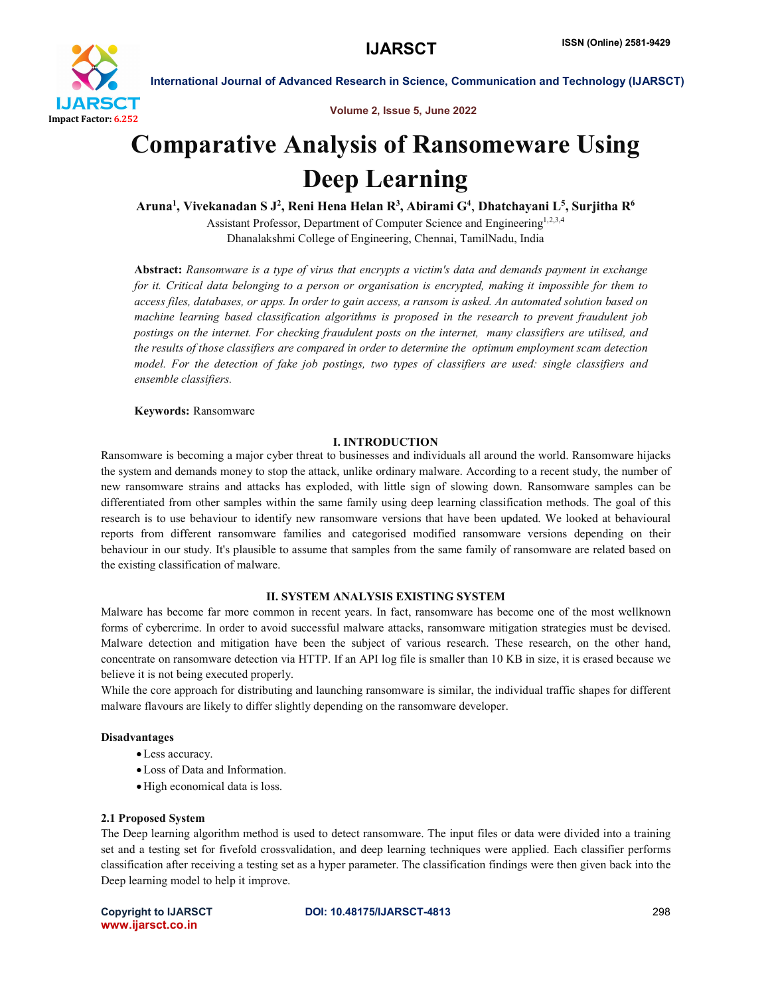

Volume 2, Issue 5, June 2022

# Comparative Analysis of Ransomeware Using Deep Learning

Aruna<sup>1</sup>, Vivekanadan S J<sup>2</sup>, Reni Hena Helan R<sup>3</sup>, Abirami G<sup>4</sup>, Dhatchayani L<sup>5</sup>, Surjitha R<sup>6</sup>

Assistant Professor, Department of Computer Science and Engineering<sup>1,2,3,4</sup> Dhanalakshmi College of Engineering, Chennai, TamilNadu, India

Abstract: *Ransomware is a type of virus that encrypts a victim's data and demands payment in exchange for it. Critical data belonging to a person or organisation is encrypted, making it impossible for them to access files, databases, or apps. In order to gain access, a ransom is asked. An automated solution based on machine learning based classification algorithms is proposed in the research to prevent fraudulent job postings on the internet. For checking fraudulent posts on the internet, many classifiers are utilised, and the results of those classifiers are compared in order to determine the optimum employment scam detection model. For the detection of fake job postings, two types of classifiers are used: single classifiers and ensemble classifiers.*

Keywords: Ransomware

# I. INTRODUCTION

Ransomware is becoming a major cyber threat to businesses and individuals all around the world. Ransomware hijacks the system and demands money to stop the attack, unlike ordinary malware. According to a recent study, the number of new ransomware strains and attacks has exploded, with little sign of slowing down. Ransomware samples can be differentiated from other samples within the same family using deep learning classification methods. The goal of this research is to use behaviour to identify new ransomware versions that have been updated. We looked at behavioural reports from different ransomware families and categorised modified ransomware versions depending on their behaviour in our study. It's plausible to assume that samples from the same family of ransomware are related based on the existing classification of malware.

# II. SYSTEM ANALYSIS EXISTING SYSTEM

Malware has become far more common in recent years. In fact, ransomware has become one of the most wellknown forms of cybercrime. In order to avoid successful malware attacks, ransomware mitigation strategies must be devised. Malware detection and mitigation have been the subject of various research. These research, on the other hand, concentrate on ransomware detection via HTTP. If an API log file is smaller than 10 KB in size, it is erased because we believe it is not being executed properly.

While the core approach for distributing and launching ransomware is similar, the individual traffic shapes for different malware flavours are likely to differ slightly depending on the ransomware developer.

# Disadvantages

- Less accuracy.
- Loss of Data and Information.
- High economical data is loss.

#### 2.1 Proposed System

The Deep learning algorithm method is used to detect ransomware. The input files or data were divided into a training set and a testing set for fivefold crossvalidation, and deep learning techniques were applied. Each classifier performs classification after receiving a testing set as a hyper parameter. The classification findings were then given back into the Deep learning model to help it improve.

www.ijarsct.co.in

### Copyright to IJARSCT **DOI: 10.48175/IJARSCT-4813** 298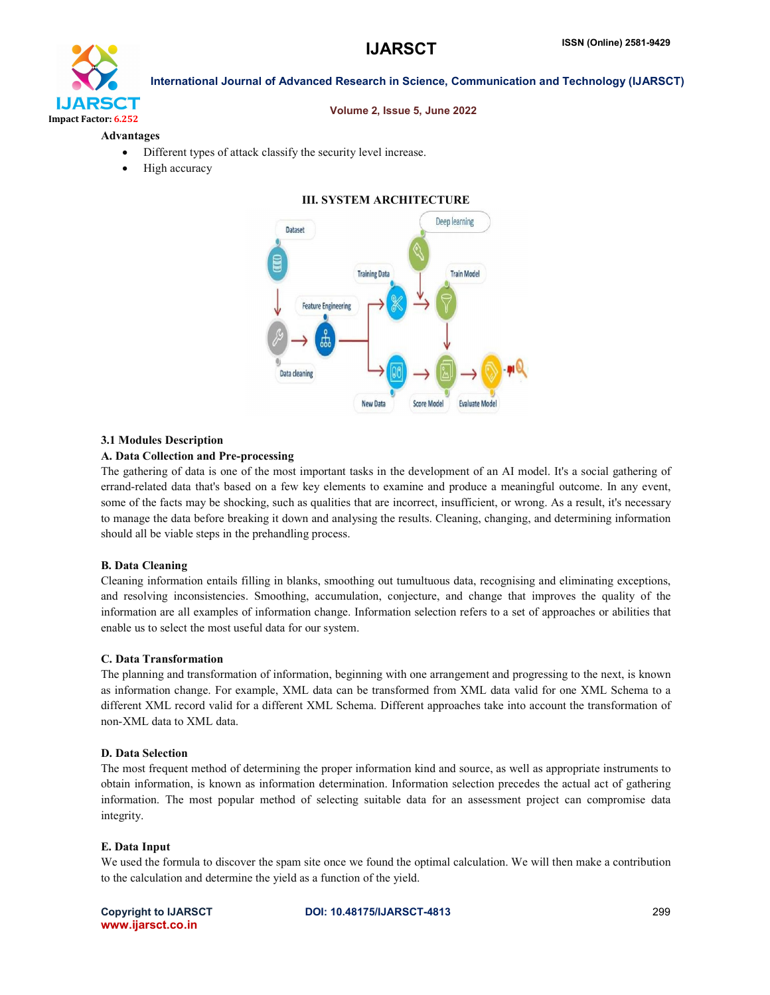

#### Volume 2, Issue 5, June 2022

#### Advantages

- Different types of attack classify the security level increase.
- High accuracy

# III. SYSTEM ARCHITECTURE



#### 3.1 Modules Description

### A. Data Collection and Pre-processing

The gathering of data is one of the most important tasks in the development of an AI model. It's a social gathering of errand-related data that's based on a few key elements to examine and produce a meaningful outcome. In any event, some of the facts may be shocking, such as qualities that are incorrect, insufficient, or wrong. As a result, it's necessary to manage the data before breaking it down and analysing the results. Cleaning, changing, and determining information should all be viable steps in the prehandling process.

#### B. Data Cleaning

Cleaning information entails filling in blanks, smoothing out tumultuous data, recognising and eliminating exceptions, and resolving inconsistencies. Smoothing, accumulation, conjecture, and change that improves the quality of the information are all examples of information change. Information selection refers to a set of approaches or abilities that enable us to select the most useful data for our system.

#### C. Data Transformation

The planning and transformation of information, beginning with one arrangement and progressing to the next, is known as information change. For example, XML data can be transformed from XML data valid for one XML Schema to a different XML record valid for a different XML Schema. Different approaches take into account the transformation of non-XML data to XML data.

### D. Data Selection

The most frequent method of determining the proper information kind and source, as well as appropriate instruments to obtain information, is known as information determination. Information selection precedes the actual act of gathering information. The most popular method of selecting suitable data for an assessment project can compromise data integrity.

#### E. Data Input

We used the formula to discover the spam site once we found the optimal calculation. We will then make a contribution to the calculation and determine the yield as a function of the yield.

www.ijarsct.co.in

Copyright to IJARSCT **DOI: 10.48175/IJARSCT-4813** 299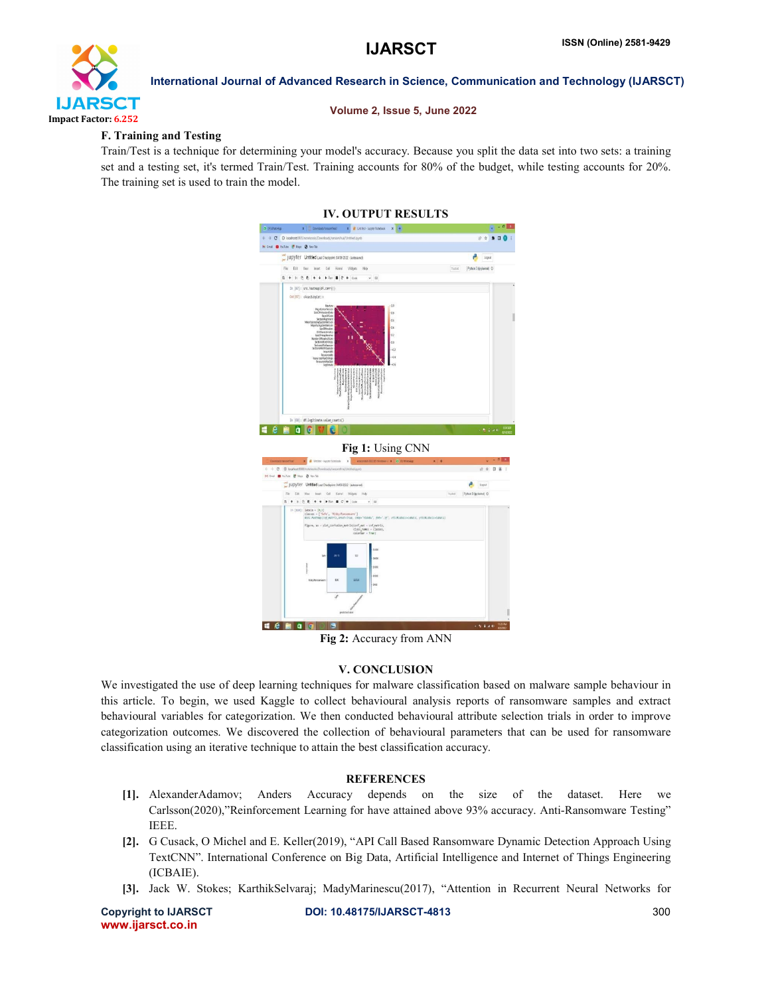

#### Volume 2, Issue 5, June 2022

#### F. Training and Testing

Train/Test is a technique for determining your model's accuracy. Because you split the data set into two sets: a training set and a testing set, it's termed Train/Test. Training accounts for 80% of the budget, while testing accounts for 20%. The training set is used to train the model.

### IV. OUTPUT RESULTS



| Fêr<br><b>ER</b> | Cil<br>Insert<br>Visi    | Kenel<br><b>Wilders</b>                | Help                                                                                                                                                                                                              | Trusted. | Pythen 3 (bykome) O |
|------------------|--------------------------|----------------------------------------|-------------------------------------------------------------------------------------------------------------------------------------------------------------------------------------------------------------------|----------|---------------------|
| $5 +$            | ó<br>٠                   | FRin E C W Code                        | $v$ =                                                                                                                                                                                                             |          |                     |
|                  | In [116]: labels = [0,1] | classes - ['Safe', 'Risky/Ransomcary'] | #sns heatmas(cnf matrix, annot-True, cmap+"FlorBa", fet+".3f", xtick(abels-(abels, ytick(abels-(abels)<br>figure, as - plot_coofusion_matrix(conf_mat - cnf_matrix,<br>class names - classes,<br>colorbar - True) |          |                     |
|                  | Sele<br>true taiwe       | 26%                                    | 25000<br>82<br>30000<br>-25000                                                                                                                                                                                    |          |                     |
|                  | <b>KidyRanzimaare</b>    | ns.                                    | 39000<br>12526<br>$-300$                                                                                                                                                                                          |          |                     |
|                  |                          | ¥                                      | pedicted label                                                                                                                                                                                                    |          |                     |

Fig 2: Accuracy from ANN

#### V. CONCLUSION

We investigated the use of deep learning techniques for malware classification based on malware sample behaviour in this article. To begin, we used Kaggle to collect behavioural analysis reports of ransomware samples and extract behavioural variables for categorization. We then conducted behavioural attribute selection trials in order to improve categorization outcomes. We discovered the collection of behavioural parameters that can be used for ransomware classification using an iterative technique to attain the best classification accuracy.

#### **REFERENCES**

- [1]. AlexanderAdamov; Anders Accuracy depends on the size of the dataset. Here we Carlsson(2020),"Reinforcement Learning for have attained above 93% accuracy. Anti-Ransomware Testing" IEEE.
- [2]. G Cusack, O Michel and E. Keller(2019), "API Call Based Ransomware Dynamic Detection Approach Using TextCNN". International Conference on Big Data, Artificial Intelligence and Internet of Things Engineering (ICBAIE).
- [3]. Jack W. Stokes; KarthikSelvaraj; MadyMarinescu(2017), "Attention in Recurrent Neural Networks for

www.ijarsct.co.in